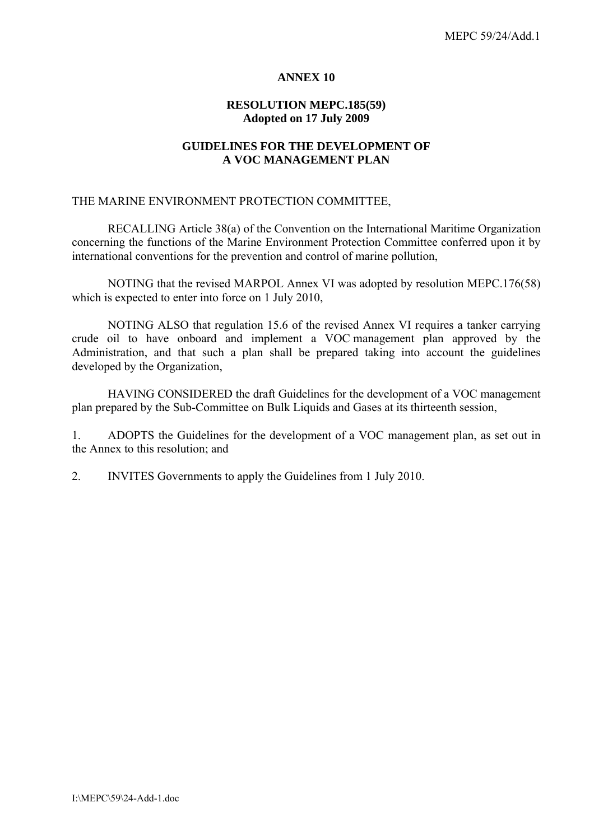#### **ANNEX 10**

## **RESOLUTION MEPC.185(59) Adopted on 17 July 2009**

### **GUIDELINES FOR THE DEVELOPMENT OF A VOC MANAGEMENT PLAN**

#### THE MARINE ENVIRONMENT PROTECTION COMMITTEE,

 RECALLING Article 38(a) of the Convention on the International Maritime Organization concerning the functions of the Marine Environment Protection Committee conferred upon it by international conventions for the prevention and control of marine pollution,

 NOTING that the revised MARPOL Annex VI was adopted by resolution MEPC.176(58) which is expected to enter into force on 1 July 2010,

NOTING ALSO that regulation 15.6 of the revised Annex VI requires a tanker carrying crude oil to have onboard and implement a VOC management plan approved by the Administration, and that such a plan shall be prepared taking into account the guidelines developed by the Organization,

 HAVING CONSIDERED the draft Guidelines for the development of a VOC management plan prepared by the Sub-Committee on Bulk Liquids and Gases at its thirteenth session,

1. ADOPTS the Guidelines for the development of a VOC management plan, as set out in the Annex to this resolution; and

2. INVITES Governments to apply the Guidelines from 1 July 2010.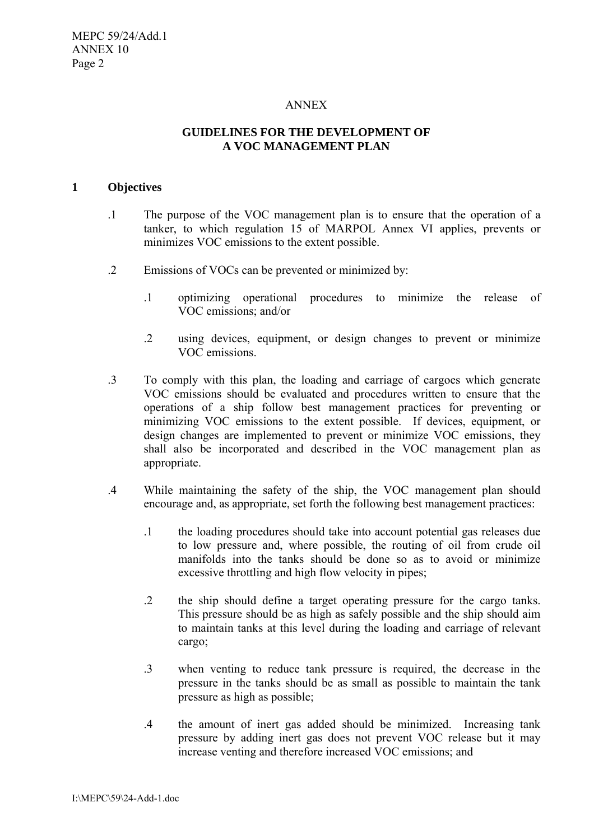### ANNEX

# **GUIDELINES FOR THE DEVELOPMENT OF A VOC MANAGEMENT PLAN**

#### **1 Objectives**

- .1 The purpose of the VOC management plan is to ensure that the operation of a tanker, to which regulation 15 of MARPOL Annex VI applies, prevents or minimizes VOC emissions to the extent possible.
- .2 Emissions of VOCs can be prevented or minimized by:
	- .1 optimizing operational procedures to minimize the release of VOC emissions; and/or
	- .2 using devices, equipment, or design changes to prevent or minimize VOC emissions.
- .3 To comply with this plan, the loading and carriage of cargoes which generate VOC emissions should be evaluated and procedures written to ensure that the operations of a ship follow best management practices for preventing or minimizing VOC emissions to the extent possible. If devices, equipment, or design changes are implemented to prevent or minimize VOC emissions, they shall also be incorporated and described in the VOC management plan as appropriate.
- .4 While maintaining the safety of the ship, the VOC management plan should encourage and, as appropriate, set forth the following best management practices:
	- .1 the loading procedures should take into account potential gas releases due to low pressure and, where possible, the routing of oil from crude oil manifolds into the tanks should be done so as to avoid or minimize excessive throttling and high flow velocity in pipes;
	- .2 the ship should define a target operating pressure for the cargo tanks. This pressure should be as high as safely possible and the ship should aim to maintain tanks at this level during the loading and carriage of relevant cargo;
	- .3 when venting to reduce tank pressure is required, the decrease in the pressure in the tanks should be as small as possible to maintain the tank pressure as high as possible;
	- .4 the amount of inert gas added should be minimized. Increasing tank pressure by adding inert gas does not prevent VOC release but it may increase venting and therefore increased VOC emissions; and